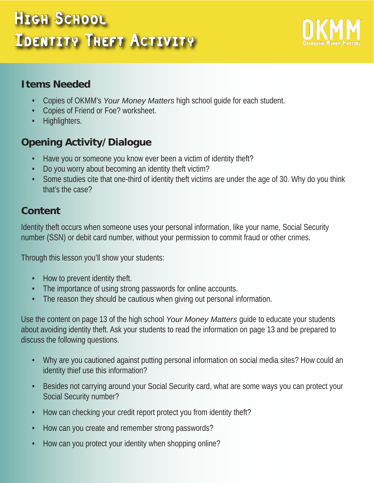## High School Identity Theft Activity



#### **Items Needed**

- Copies of OKMM's *Your Money Matters* high school guide for each student.
- Copies of Friend or Foe? worksheet.
- Highlighters.

#### **Opening Activity/Dialogue**

- Have you or someone you know ever been a victim of identity theft?
- Do you worry about becoming an identity theft victim?
- Some studies cite that one-third of identity theft victims are under the age of 30. Why do you think that's the case?

### **Content**

Identity theft occurs when someone uses your personal information, like your name, Social Security number (SSN) or debit card number, without your permission to commit fraud or other crimes.

Through this lesson you'll show your students:

- How to prevent identity theft.
- The importance of using strong passwords for online accounts.
- The reason they should be cautious when giving out personal information.

Use the content on page 13 of the high school *Your Money Matters* guide to educate your students about avoiding identity theft. Ask your students to read the information on page 13 and be prepared to discuss the following questions.

- Why are you cautioned against putting personal information on social media sites? How could an identity thief use this information?
- Besides not carrying around your Social Security card, what are some ways you can protect your Social Security number?
- How can checking your credit report protect you from identity theft?
- How can you create and remember strong passwords?
- How can you protect your identity when shopping online?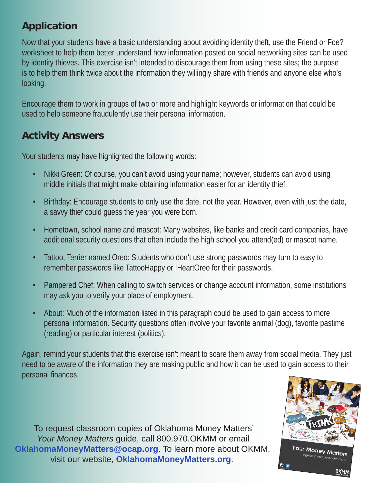#### **Application**

Now that your students have a basic understanding about avoiding identity theft, use the Friend or Foe? worksheet to help them better understand how information posted on social networking sites can be used by identity thieves. This exercise isn't intended to discourage them from using these sites; the purpose is to help them think twice about the information they willingly share with friends and anyone else who's looking.

Encourage them to work in groups of two or more and highlight keywords or information that could be used to help someone fraudulently use their personal information.

#### **Activity Answers**

Your students may have highlighted the following words:

- Nikki Green: Of course, you can't avoid using your name; however, students can avoid using middle initials that might make obtaining information easier for an identity thief.
- Birthday: Encourage students to only use the date, not the year. However, even with just the date, a savvy thief could guess the year you were born.
- Hometown, school name and mascot: Many websites, like banks and credit card companies, have additional security questions that often include the high school you attend(ed) or mascot name.
- Tattoo, Terrier named Oreo: Students who don't use strong passwords may turn to easy to remember passwords like TattooHappy or IHeartOreo for their passwords.
- Pampered Chef: When calling to switch services or change account information, some institutions may ask you to verify your place of employment.
- About: Much of the information listed in this paragraph could be used to gain access to more personal information. Security questions often involve your favorite animal (dog), favorite pastime (reading) or particular interest (politics).

Again, remind your students that this exercise isn't meant to scare them away from social media. They just need to be aware of the information they are making public and how it can be used to gain access to their personal finances.

To request classroom copies of Oklahoma Money Matters' *Your Money Matters* guide, call 800.970.OKMM or email **[OklahomaMoneyMatters@ocap.org](mailto:oklahomamoneymatters%40ocap.org?subject=Classroom%20copies%20of%20high%20school%20Your%20Money%20Matters%20guide)**. To learn more about OKMM, visit our website, **[OklahomaMoneyMatters.org](http://www.oklahomamoneymatters.org)**.